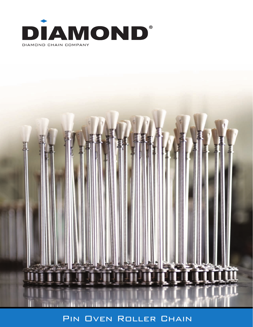



# PIN OVEN ROLLER CHAIN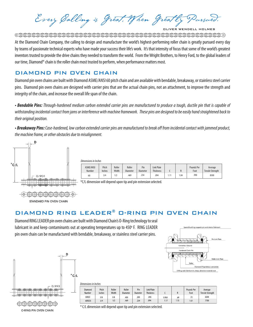Every Calling is Great, When Greatly Pursued. **JLIVER WENDELL HOLMES** 

 ${\color{blue}\textcirc} {\color{blue}\textcirc} {\color{blue}\textcirc} {\color{blue}\textcirc} {\color{blue}\textcirc} {\color{blue}\textcirc} {\color{blue}\textcirc} {\color{blue}\textcirc} {\color{blue}\textcirc} {\color{blue}\textcirc} {\color{blue}\textcirc} {\color{blue}\textcirc} {\color{blue}\textcirc} {\color{blue}\textcirc} {\color{blue}\textcirc} {\color{blue}\textcirc} {\color{blue}\textcirc} {\color{blue}\textcirc} {\color{blue}\textcirc} {\color{blue}\textcirc} {\color{blue}\textcirc} {\color{blue}\textcirc} {\color{blue}\textcirc} {\color{blue}\textcirc} {\color{blue}\textcirc} {\color{blue}\textcirc} {\color{blue}\textcirc} {\color{blue$ 

At the Diamond Chain Company, the calling to design and manufacture the world's highest-performing roller chain is greatly pursued every day by teams of passionate technical experts who have made your success their life's work. It's that intensity of focus that some of the world's greatest inventors trusted to provide the drive chains they needed to transform the world. From the Wright Brothers, to Henry Ford, to the global leaders of our time, Diamond® chain is the roller chain most trusted to perform, when performance matters most.

## DIAMOND PIN OVEN CHAIN

Diamond pin oven chains are built with Diamond ASME/ANSI 60 pitch chain and are available with bendable, breakaway, or stainless steel carrier pins. Diamond pin oven chains are designed with carrier pins that are the actual chain pins, not an attachment, to improve the strength and integrity of the chain, and increase the overall life span of the chain.

*• Bendable Pins: Through-hardened medium carbon extended carrier pins are manufactured to produce a tough, ductile pin that is capable of withstanding incidental contact from jams or interference with machine framework. These pins are designed to be easily hand straightened back to their original position.*

*• Breakaway Pins: Case-hardened, low carbon extended carrier pins are manufactured to break off from incidental contact with jammed product, the machine frame, or other obstacles due to misalignment.*



STANDARD PIN OVEN CHAIN

| Dimensions in Inches |                     |                 |                 |                           |                        |                                       |      |     |                    |                                    |
|----------------------|---------------------|-----------------|-----------------|---------------------------|------------------------|---------------------------------------|------|-----|--------------------|------------------------------------|
|                      | ASME/ANSI<br>Number | Pitch<br>Inches | Roller<br>Width | Roller<br><b>Diameter</b> | Pin<br><b>Diameter</b> | <b>Link Plate</b><br><b>Thickness</b> |      |     | Pounds Per<br>Foot | Average<br><b>Tensile Strength</b> |
|                      | 60                  | 3/4             | 1/2             | .469                      | .234                   | .094                                  | 1.11 | .04 | .990               | 8500                               |

\*C/L dimension will depend upon tip and pin extension selected.

# DIAMOND RING LEADER® O-RING PIN OVEN CHAIN

Diamond RING LEADER pin oven chains are built with Diamond Chain's O-Ring technology to seal lubricant in and keep contaminants out at operating temperatures up to 450° F. RING LEADER pin oven chain can be manufactured with bendable, breakaway, or stainless steel carrier pins.





| Dimensions in Inches |                   |                 |                 |                    |                 |                                |       |      |                    |                             |
|----------------------|-------------------|-----------------|-----------------|--------------------|-----------------|--------------------------------|-------|------|--------------------|-----------------------------|
|                      | Diamond<br>Number | Pitch<br>Inches | Roller<br>Width | Roller<br>Diameter | Pin<br>Diameter | Link Plate<br><b>Thickness</b> |       | R    | Pounds Per<br>Foot | Average<br>Tensile Strength |
|                      | <b>50XLO</b>      | 5/8             | 3/8             | .400               | .200            | .095                           | 0.950 | .89  | .72                | 6500                        |
|                      | 60XL03            | 3/4             | 1/2             | .469               | .234            | .094                           | 1.17  | 1.13 | 1.01               | 7700                        |

O-RING PIN OVEN CHAIN

\* C/L dimension will depend upon tip and pin extension selected.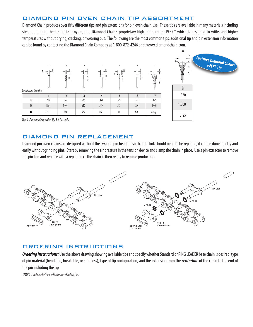# DIAMOND PIN OVEN CHAIN TIP ASSORTMENT

Diamond Chain produces over fifty different tips and pin extensions for pin oven chain use. These tips are available in many materials including steel, aluminum, heat stabilized nylon, and Diamond Chain's proprietary high temperature PEEK™ which is designed to withstand higher temperatures without drying, cracking, or wearing out. The following are the most common tips, additional tip and pin extension information can be found by contacting the Diamond Chain Company at 1-800-872-4246 or at www.diamondchain.com.



*Tips 1-7 are made to order. Tip 8 is in stock.*

### DIAMOND PIN REPLACEMENT

Diamond pin oven chains are designed without the swaged pin heading so that if a link should need to be repaired, it can be done quickly and easily without grinding pins. Start by removing the air pressure in the tension device and clamp the chain in place. Use a pin extractor to remove the pin link and replace with a repair link. The chain is then ready to resume production.



## ORDERING INSTRUCTIONS

*Ordering Instructions:* Use the above drawing showing available tips and specify whether Standard or RING LEADER base chain is desired, type of pin material (bendable, breakable, or stainless), type of tip configuration, and the extension from the *centerline* of the chain to the end of the pin including the tip.

*\*PEEK is a trademark of Amoco Performance Products, Inc.*